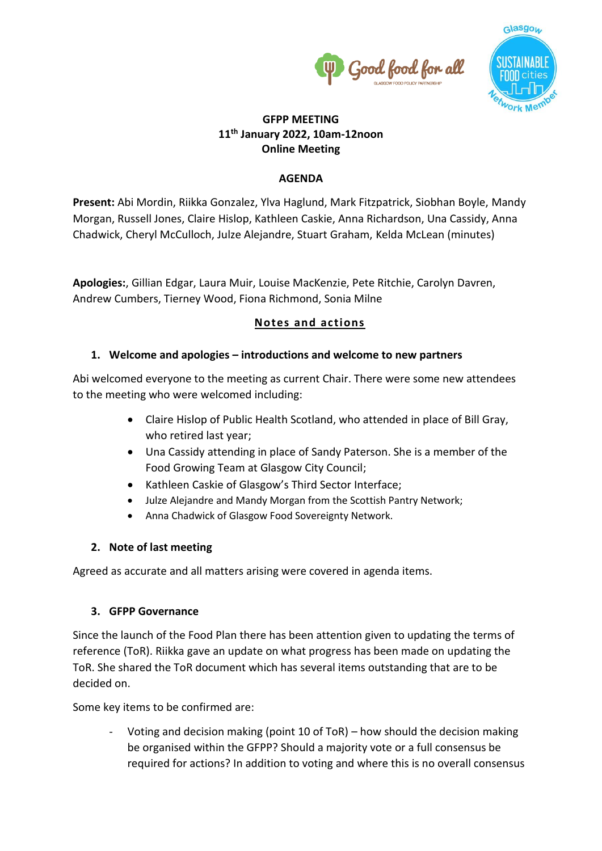



# **GFPP MEETING 11th January 2022, 10am-12noon Online Meeting**

### **AGENDA**

**Present:** Abi Mordin, Riikka Gonzalez, Ylva Haglund, Mark Fitzpatrick, Siobhan Boyle, Mandy Morgan, Russell Jones, Claire Hislop, Kathleen Caskie, Anna Richardson, Una Cassidy, Anna Chadwick, Cheryl McCulloch, Julze Alejandre, Stuart Graham, Kelda McLean (minutes)

**Apologies:**, Gillian Edgar, Laura Muir, Louise MacKenzie, Pete Ritchie, Carolyn Davren, Andrew Cumbers, Tierney Wood, Fiona Richmond, Sonia Milne

# **Notes and actions**

# **1. Welcome and apologies – introductions and welcome to new partners**

Abi welcomed everyone to the meeting as current Chair. There were some new attendees to the meeting who were welcomed including:

- Claire Hislop of Public Health Scotland, who attended in place of Bill Gray, who retired last year;
- Una Cassidy attending in place of Sandy Paterson. She is a member of the Food Growing Team at Glasgow City Council;
- Kathleen Caskie of Glasgow's Third Sector Interface;
- Julze Alejandre and Mandy Morgan from the Scottish Pantry Network;
- Anna Chadwick of Glasgow Food Sovereignty Network.

# **2. Note of last meeting**

Agreed as accurate and all matters arising were covered in agenda items.

# **3. GFPP Governance**

Since the launch of the Food Plan there has been attention given to updating the terms of reference (ToR). Riikka gave an update on what progress has been made on updating the ToR. She shared the ToR document which has several items outstanding that are to be decided on.

Some key items to be confirmed are:

- Voting and decision making (point 10 of ToR) – how should the decision making be organised within the GFPP? Should a majority vote or a full consensus be required for actions? In addition to voting and where this is no overall consensus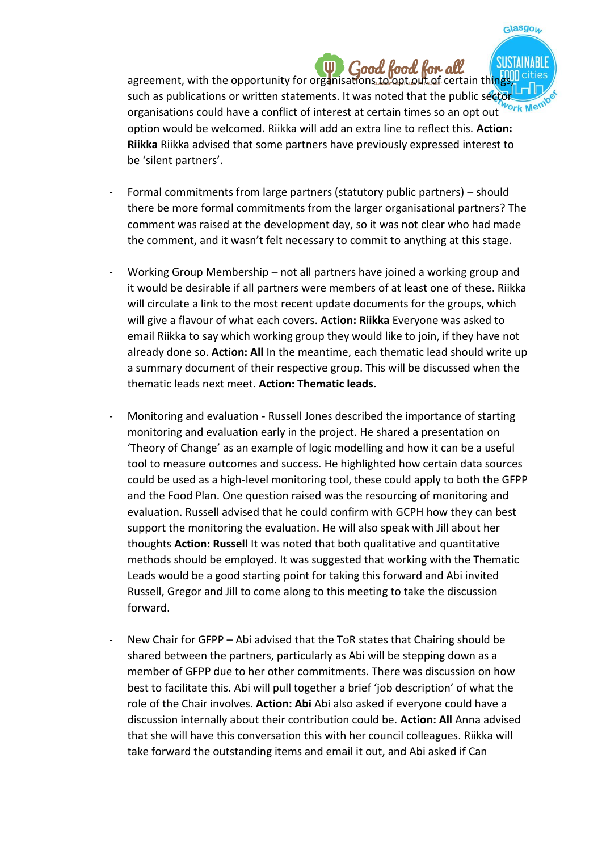agreement, with the opportunity for organisations to opt out of certain things such as publications or written statements. It was noted that the public sector organisations could have a conflict of interest at certain times so an opt out option would be welcomed. Riikka will add an extra line to reflect this. **Action: Riikka** Riikka advised that some partners have previously expressed interest to be 'silent partners'.

Glasgow

- Formal commitments from large partners (statutory public partners) should there be more formal commitments from the larger organisational partners? The comment was raised at the development day, so it was not clear who had made the comment, and it wasn't felt necessary to commit to anything at this stage.
- Working Group Membership not all partners have joined a working group and it would be desirable if all partners were members of at least one of these. Riikka will circulate a link to the most recent update documents for the groups, which will give a flavour of what each covers. **Action: Riikka** Everyone was asked to email Riikka to say which working group they would like to join, if they have not already done so. **Action: All** In the meantime, each thematic lead should write up a summary document of their respective group. This will be discussed when the thematic leads next meet. **Action: Thematic leads.**
- Monitoring and evaluation Russell Jones described the importance of starting monitoring and evaluation early in the project. He shared a presentation on 'Theory of Change' as an example of logic modelling and how it can be a useful tool to measure outcomes and success. He highlighted how certain data sources could be used as a high-level monitoring tool, these could apply to both the GFPP and the Food Plan. One question raised was the resourcing of monitoring and evaluation. Russell advised that he could confirm with GCPH how they can best support the monitoring the evaluation. He will also speak with Jill about her thoughts **Action: Russell** It was noted that both qualitative and quantitative methods should be employed. It was suggested that working with the Thematic Leads would be a good starting point for taking this forward and Abi invited Russell, Gregor and Jill to come along to this meeting to take the discussion forward.
- New Chair for GFPP Abi advised that the ToR states that Chairing should be shared between the partners, particularly as Abi will be stepping down as a member of GFPP due to her other commitments. There was discussion on how best to facilitate this. Abi will pull together a brief 'job description' of what the role of the Chair involves. **Action: Abi** Abi also asked if everyone could have a discussion internally about their contribution could be. **Action: All** Anna advised that she will have this conversation this with her council colleagues. Riikka will take forward the outstanding items and email it out, and Abi asked if Can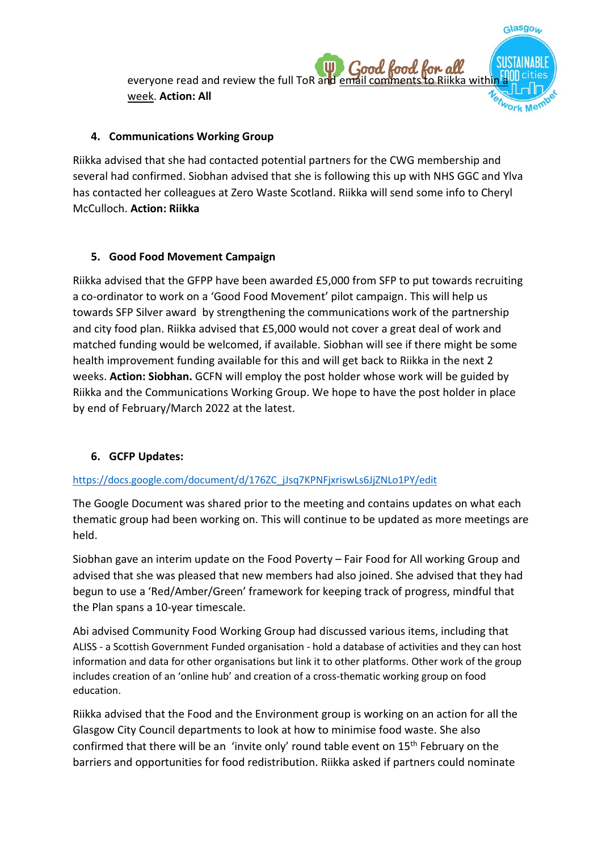

Glasgow

#### **4. Communications Working Group**

Riikka advised that she had contacted potential partners for the CWG membership and several had confirmed. Siobhan advised that she is following this up with NHS GGC and Ylva has contacted her colleagues at Zero Waste Scotland. Riikka will send some info to Cheryl McCulloch. **Action: Riikka**

#### **5. Good Food Movement Campaign**

Riikka advised that the GFPP have been awarded £5,000 from SFP to put towards recruiting a co-ordinator to work on a 'Good Food Movement' pilot campaign. This will help us towards SFP Silver award by strengthening the communications work of the partnership and city food plan. Riikka advised that £5,000 would not cover a great deal of work and matched funding would be welcomed, if available. Siobhan will see if there might be some health improvement funding available for this and will get back to Riikka in the next 2 weeks. **Action: Siobhan.** GCFN will employ the post holder whose work will be guided by Riikka and the Communications Working Group. We hope to have the post holder in place by end of February/March 2022 at the latest.

#### **6. GCFP Updates:**

#### [https://docs.google.com/document/d/176ZC\\_jJsq7KPNFjxriswLs6JjZNLo1PY/edit](https://docs.google.com/document/d/176ZC_jJsq7KPNFjxriswLs6JjZNLo1PY/edit)

The Google Document was shared prior to the meeting and contains updates on what each thematic group had been working on. This will continue to be updated as more meetings are held.

Siobhan gave an interim update on the Food Poverty – Fair Food for All working Group and advised that she was pleased that new members had also joined. She advised that they had begun to use a 'Red/Amber/Green' framework for keeping track of progress, mindful that the Plan spans a 10-year timescale.

Abi advised Community Food Working Group had discussed various items, including that ALISS - a Scottish Government Funded organisation - hold a database of activities and they can host information and data for other organisations but link it to other platforms. Other work of the group includes creation of an 'online hub' and creation of a cross-thematic working group on food education.

Riikka advised that the Food and the Environment group is working on an action for all the Glasgow City Council departments to look at how to minimise food waste. She also confirmed that there will be an 'invite only' round table event on  $15<sup>th</sup>$  February on the barriers and opportunities for food redistribution. Riikka asked if partners could nominate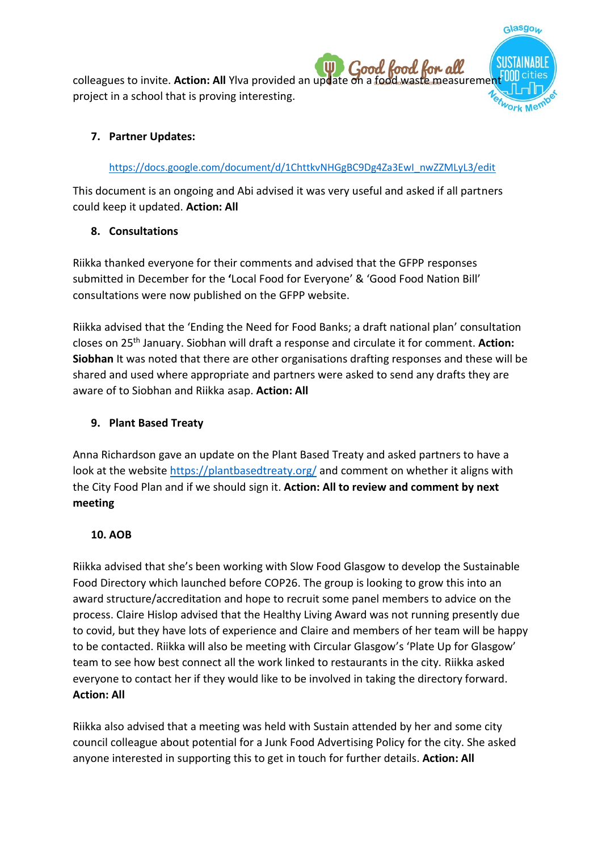colleagues to invite. **Action: All** Ylva provided an update on a food waste measureme project in a school that is proving interesting.

Glasgow

### **7. Partner Updates:**

### [https://docs.google.com/document/d/1ChttkvNHGgBC9Dg4Za3EwI\\_nwZZMLyL3/edit](https://docs.google.com/document/d/1ChttkvNHGgBC9Dg4Za3EwI_nwZZMLyL3/edit)

This document is an ongoing and Abi advised it was very useful and asked if all partners could keep it updated. **Action: All**

# **8. Consultations**

Riikka thanked everyone for their comments and advised that the GFPP responses submitted in December for the **'**Local Food for Everyone' & 'Good Food Nation Bill' consultations were now published on the GFPP website.

Riikka advised that the 'Ending the Need for Food Banks; a draft national plan' consultation closes on 25th January. Siobhan will draft a response and circulate it for comment. **Action: Siobhan** It was noted that there are other organisations drafting responses and these will be shared and used where appropriate and partners were asked to send any drafts they are aware of to Siobhan and Riikka asap. **Action: All**

### **9. Plant Based Treaty**

Anna Richardson gave an update on the Plant Based Treaty and asked partners to have a look at the website <https://plantbasedtreaty.org/> and comment on whether it aligns with the City Food Plan and if we should sign it. **Action: All to review and comment by next meeting**

#### **10. AOB**

Riikka advised that she's been working with Slow Food Glasgow to develop the Sustainable Food Directory which launched before COP26. The group is looking to grow this into an award structure/accreditation and hope to recruit some panel members to advice on the process. Claire Hislop advised that the Healthy Living Award was not running presently due to covid, but they have lots of experience and Claire and members of her team will be happy to be contacted. Riikka will also be meeting with Circular Glasgow's 'Plate Up for Glasgow' team to see how best connect all the work linked to restaurants in the city. Riikka asked everyone to contact her if they would like to be involved in taking the directory forward. **Action: All**

Riikka also advised that a meeting was held with Sustain attended by her and some city council colleague about potential for a Junk Food Advertising Policy for the city. She asked anyone interested in supporting this to get in touch for further details. **Action: All**